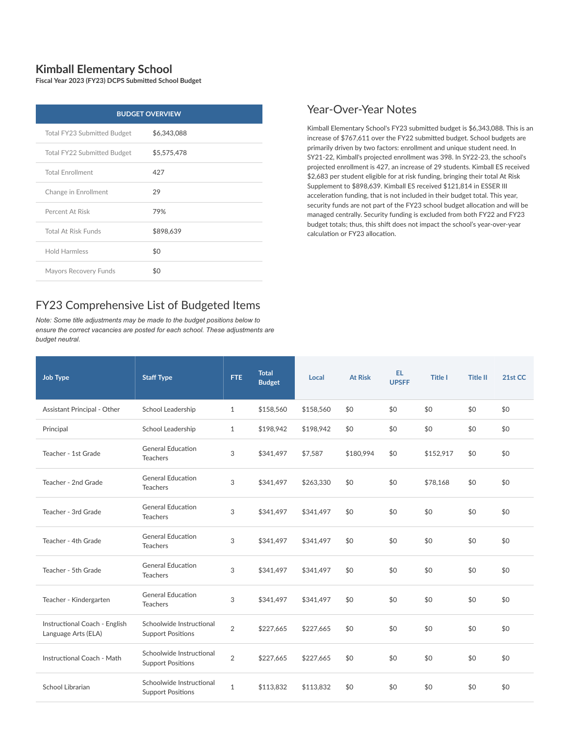## **Kimball Elementary School**

**Fiscal Year 2023 (FY23) DCPS Submitted School Budget**

| <b>BUDGET OVERVIEW</b>      |             |  |  |  |  |  |  |
|-----------------------------|-------------|--|--|--|--|--|--|
| Total FY23 Submitted Budget | \$6,343,088 |  |  |  |  |  |  |
| Total FY22 Submitted Budget | \$5,575,478 |  |  |  |  |  |  |
| <b>Total Enrollment</b>     | 427         |  |  |  |  |  |  |
| Change in Enrollment        | 29          |  |  |  |  |  |  |
| Percent At Risk             | 79%         |  |  |  |  |  |  |
| <b>Total At Risk Funds</b>  | \$898,639   |  |  |  |  |  |  |
| <b>Hold Harmless</b>        | \$0         |  |  |  |  |  |  |
| Mayors Recovery Funds       | \$0         |  |  |  |  |  |  |

## FY23 Comprehensive List of Budgeted Items

*Note: Some title adjustments may be made to the budget positions below to ensure the correct vacancies are posted for each school. These adjustments are budget neutral.*

## Year-Over-Year Notes

Kimball Elementary School's FY23 submitted budget is \$6,343,088. This is an increase of \$767,611 over the FY22 submitted budget. School budgets are primarily driven by two factors: enrollment and unique student need. In SY21-22, Kimball's projected enrollment was 398. In SY22-23, the school's projected enrollment is 427, an increase of 29 students. Kimball ES received \$2,683 per student eligible for at risk funding, bringing their total At Risk Supplement to \$898,639. Kimball ES received \$121,814 in ESSER III acceleration funding, that is not included in their budget total. This year, security funds are not part of the FY23 school budget allocation and will be managed centrally. Security funding is excluded from both FY22 and FY23 budget totals; thus, this shift does not impact the school's year-over-year calculation or FY23 allocation.

| <b>Job Type</b>                                      | <b>Staff Type</b>                                    | <b>FTE</b>     | <b>Total</b><br><b>Budget</b> | Local     | <b>At Risk</b> | EL.<br><b>UPSFF</b> | <b>Title I</b> | <b>Title II</b> | 21st CC |
|------------------------------------------------------|------------------------------------------------------|----------------|-------------------------------|-----------|----------------|---------------------|----------------|-----------------|---------|
| Assistant Principal - Other                          | School Leadership                                    | $\mathbf{1}$   | \$158,560                     | \$158,560 | \$0            | \$0                 | \$0            | \$0             | \$0     |
| Principal                                            | School Leadership                                    | $\mathbf{1}$   | \$198,942                     | \$198,942 | \$0            | \$0                 | \$0            | \$0             | \$0     |
| Teacher - 1st Grade                                  | <b>General Education</b><br><b>Teachers</b>          | 3              | \$341,497                     | \$7,587   | \$180,994      | \$0                 | \$152,917      | \$0             | \$0     |
| Teacher - 2nd Grade                                  | <b>General Education</b><br><b>Teachers</b>          | 3              | \$341,497                     | \$263,330 | \$0            | \$0                 | \$78,168       | \$0             | \$0     |
| Teacher - 3rd Grade                                  | <b>General Education</b><br><b>Teachers</b>          | 3              | \$341,497                     | \$341,497 | \$0            | \$0                 | \$0            | \$0             | \$0     |
| Teacher - 4th Grade                                  | <b>General Education</b><br><b>Teachers</b>          | 3              | \$341,497                     | \$341,497 | \$0            | \$0                 | \$0            | \$0             | \$0     |
| Teacher - 5th Grade                                  | <b>General Education</b><br><b>Teachers</b>          | 3              | \$341,497                     | \$341,497 | \$0            | \$0                 | \$0            | \$0             | \$0     |
| Teacher - Kindergarten                               | <b>General Education</b><br><b>Teachers</b>          | 3              | \$341,497                     | \$341,497 | \$0            | \$0                 | \$0            | \$0             | \$0     |
| Instructional Coach - English<br>Language Arts (ELA) | Schoolwide Instructional<br><b>Support Positions</b> | 2              | \$227,665                     | \$227,665 | \$0            | \$0                 | \$0            | \$0             | \$0     |
| Instructional Coach - Math                           | Schoolwide Instructional<br><b>Support Positions</b> | $\overline{2}$ | \$227,665                     | \$227,665 | \$0            | \$0                 | \$0            | \$0             | \$0     |
| School Librarian                                     | Schoolwide Instructional<br><b>Support Positions</b> | $\mathbf{1}$   | \$113,832                     | \$113,832 | \$0            | \$0                 | \$0            | \$0             | \$0     |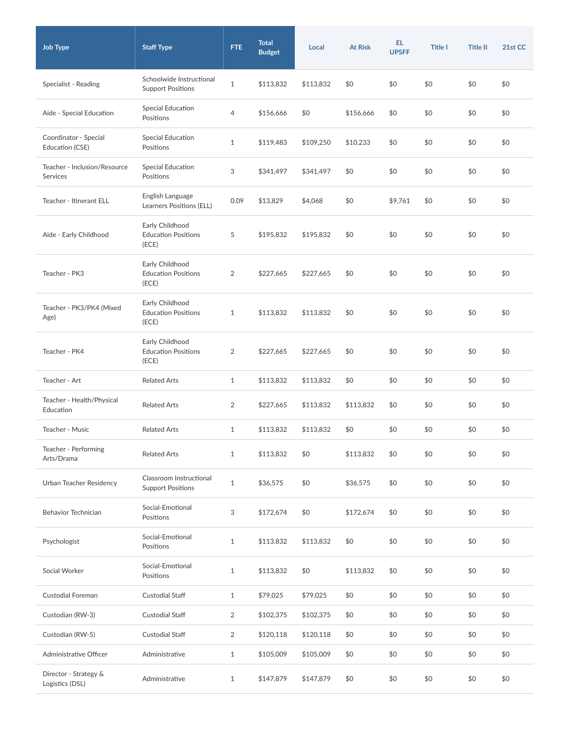| <b>Job Type</b>                          | <b>Staff Type</b>                                      | FTE.           | <b>Total</b><br><b>Budget</b> | Local     | <b>At Risk</b> | EL.<br><b>UPSFF</b> | <b>Title I</b> | <b>Title II</b> | 21st CC |
|------------------------------------------|--------------------------------------------------------|----------------|-------------------------------|-----------|----------------|---------------------|----------------|-----------------|---------|
| Specialist - Reading                     | Schoolwide Instructional<br><b>Support Positions</b>   | $\mathbf{1}$   | \$113,832                     | \$113,832 | \$0            | \$0                 | \$0            | \$0             | \$0     |
| Aide - Special Education                 | Special Education<br>Positions                         | 4              | \$156,666                     | \$0       | \$156,666      | \$0                 | \$0            | \$0             | \$0     |
| Coordinator - Special<br>Education (CSE) | Special Education<br>Positions                         | $\mathbf{1}$   | \$119,483                     | \$109,250 | \$10,233       | \$0                 | \$0            | \$0             | \$0     |
| Teacher - Inclusion/Resource<br>Services | <b>Special Education</b><br>Positions                  | 3              | \$341,497                     | \$341,497 | \$0            | \$0                 | \$0            | \$0             | \$0     |
| Teacher - Itinerant ELL                  | English Language<br>Learners Positions (ELL)           | 0.09           | \$13,829                      | \$4,068   | \$0            | \$9,761             | \$0            | \$0             | \$0     |
| Aide - Early Childhood                   | Early Childhood<br><b>Education Positions</b><br>(ECE) | 5              | \$195,832                     | \$195,832 | \$0            | \$0                 | \$0            | \$0             | \$0     |
| Teacher - PK3                            | Early Childhood<br><b>Education Positions</b><br>(ECE) | 2              | \$227,665                     | \$227,665 | \$0            | \$0                 | \$0            | \$0             | \$0     |
| Teacher - PK3/PK4 (Mixed<br>Age)         | Early Childhood<br><b>Education Positions</b><br>(ECE) | $\mathbf{1}$   | \$113,832                     | \$113,832 | \$0            | \$0                 | \$0            | \$0             | \$0     |
| Teacher - PK4                            | Early Childhood<br><b>Education Positions</b><br>(ECE) | 2              | \$227,665                     | \$227,665 | \$0            | \$0                 | \$0            | \$0             | \$0     |
| Teacher - Art                            | <b>Related Arts</b>                                    | $\mathbf{1}$   | \$113,832                     | \$113,832 | \$0            | \$0                 | \$0            | \$0             | \$0     |
| Teacher - Health/Physical<br>Education   | <b>Related Arts</b>                                    | 2              | \$227,665                     | \$113,832 | \$113,832      | \$0                 | \$0            | \$0             | \$0     |
| Teacher - Music                          | <b>Related Arts</b>                                    | $\mathbf{1}$   | \$113,832                     | \$113,832 | \$0            | \$0                 | \$0            | \$0             | \$0     |
| Teacher - Performing<br>Arts/Drama       | <b>Related Arts</b>                                    | $\mathbf{1}$   | \$113,832                     | \$0       | \$113,832      | \$0                 | \$0            | \$0             | \$0     |
| Urban Teacher Residency                  | Classroom Instructional<br><b>Support Positions</b>    | $\mathbf{1}$   | \$36,575                      | \$0       | \$36,575       | \$0                 | \$0            | \$0             | \$0     |
| Behavior Technician                      | Social-Emotional<br>Positions                          | 3              | \$172,674                     | \$0       | \$172,674      | \$0                 | \$0            | \$0             | \$0     |
| Psychologist                             | Social-Emotional<br>Positions                          | $\mathbf{1}$   | \$113,832                     | \$113,832 | \$0            | \$0                 | \$0            | \$0             | \$0     |
| Social Worker                            | Social-Emotional<br>Positions                          | $\mathbf{1}$   | \$113,832                     | \$0       | \$113,832      | \$0                 | \$0            | \$0             | \$0     |
| Custodial Foreman                        | Custodial Staff                                        | $\mathbf{1}$   | \$79,025                      | \$79,025  | \$0            | \$0                 | \$0            | \$0             | \$0     |
| Custodian (RW-3)                         | <b>Custodial Staff</b>                                 | $\overline{2}$ | \$102,375                     | \$102,375 | \$0            | \$0                 | \$0            | \$0             | \$0     |
| Custodian (RW-5)                         | <b>Custodial Staff</b>                                 | $\overline{2}$ | \$120,118                     | \$120,118 | \$0            | \$0                 | \$0            | \$0             | \$0     |
| Administrative Officer                   | Administrative                                         | $\mathbf{1}$   | \$105,009                     | \$105,009 | \$0            | \$0                 | \$0            | \$0             | \$0     |
| Director - Strategy &<br>Logistics (DSL) | Administrative                                         | $\mathbf{1}$   | \$147,879                     | \$147,879 | \$0            | \$0                 | \$0            | \$0             | \$0     |